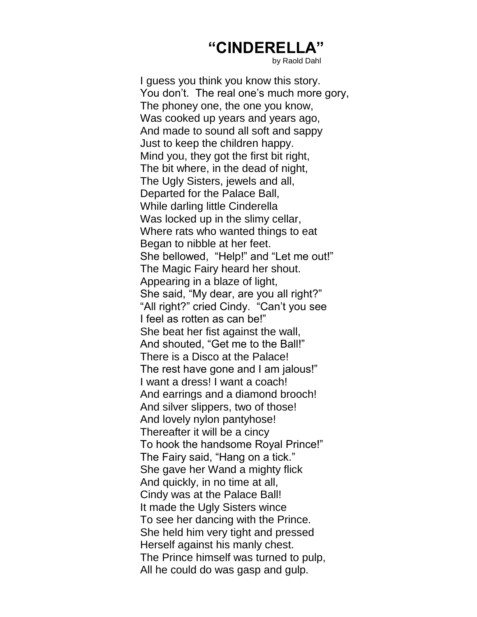## **"CINDERELLA"**

by Raold Dahl

I guess you think you know this story. You don't. The real one's much more gory, The phoney one, the one you know, Was cooked up years and years ago, And made to sound all soft and sappy Just to keep the children happy. Mind you, they got the first bit right, The bit where, in the dead of night, The Ugly Sisters, jewels and all, Departed for the Palace Ball, While darling little Cinderella Was locked up in the slimy cellar, Where rats who wanted things to eat Began to nibble at her feet. She bellowed, "Help!" and "Let me out!" The Magic Fairy heard her shout. Appearing in a blaze of light, She said, "My dear, are you all right?" "All right?" cried Cindy. "Can't you see I feel as rotten as can be!" She beat her fist against the wall, And shouted, "Get me to the Ball!" There is a Disco at the Palace! The rest have gone and I am jalous!" I want a dress! I want a coach! And earrings and a diamond brooch! And silver slippers, two of those! And lovely nylon pantyhose! Thereafter it will be a cincy To hook the handsome Royal Prince!" The Fairy said, "Hang on a tick." She gave her Wand a mighty flick And quickly, in no time at all, Cindy was at the Palace Ball! It made the Ugly Sisters wince To see her dancing with the Prince. She held him very tight and pressed Herself against his manly chest. The Prince himself was turned to pulp, All he could do was gasp and gulp.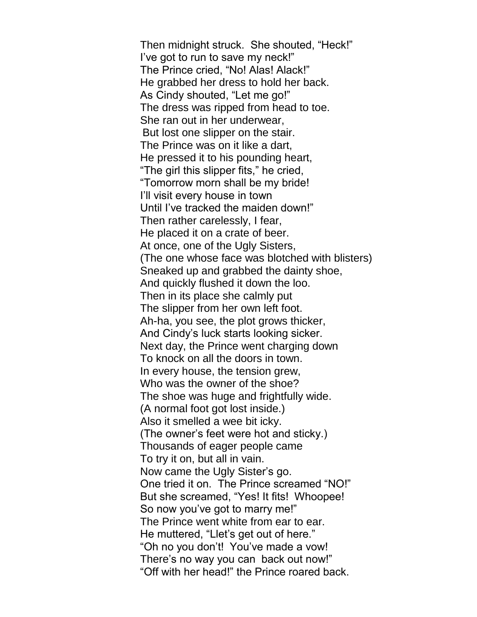Then midnight struck. She shouted, "Heck!" I've got to run to save my neck!" The Prince cried, "No! Alas! Alack!" He grabbed her dress to hold her back. As Cindy shouted, "Let me go!" The dress was ripped from head to toe. She ran out in her underwear, But lost one slipper on the stair. The Prince was on it like a dart, He pressed it to his pounding heart, "The girl this slipper fits," he cried, "Tomorrow morn shall be my bride! I'll visit every house in town Until I've tracked the maiden down!" Then rather carelessly, I fear, He placed it on a crate of beer. At once, one of the Ugly Sisters, (The one whose face was blotched with blisters) Sneaked up and grabbed the dainty shoe, And quickly flushed it down the loo. Then in its place she calmly put The slipper from her own left foot. Ah-ha, you see, the plot grows thicker, And Cindy's luck starts looking sicker. Next day, the Prince went charging down To knock on all the doors in town. In every house, the tension grew, Who was the owner of the shoe? The shoe was huge and frightfully wide. (A normal foot got lost inside.) Also it smelled a wee bit icky. (The owner's feet were hot and sticky.) Thousands of eager people came To try it on, but all in vain. Now came the Ugly Sister's go. One tried it on. The Prince screamed "NO!" But she screamed, "Yes! It fits! Whoopee! So now you've got to marry me!" The Prince went white from ear to ear. He muttered, "Llet's get out of here." "Oh no you don't! You've made a vow! There's no way you can back out now!" "Off with her head!" the Prince roared back.